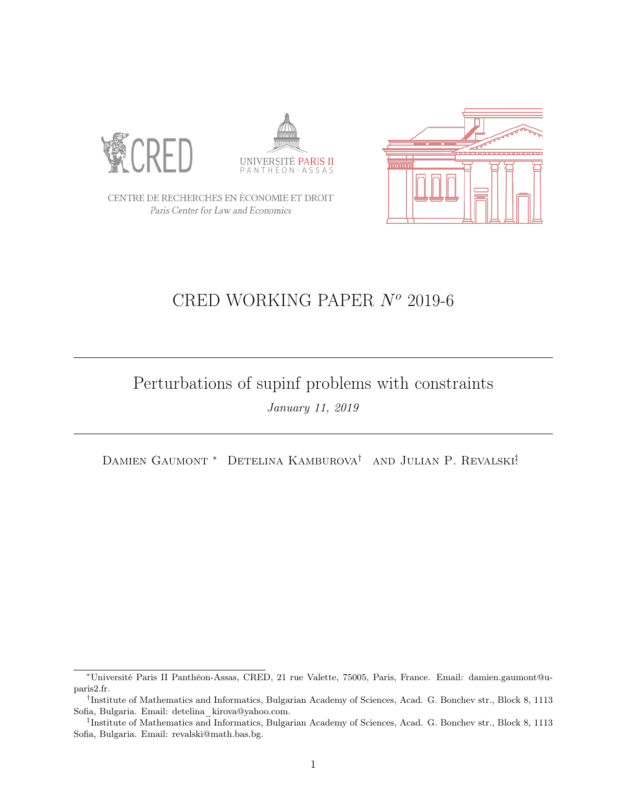





CENTRE DE RECHERCHES EN ÉCONOMIE ET DROIT Paris Center for Law and Economics

# CRED WORKING PAPER  $N^o$  2019-6

## Perturbations of supinf problems with constraints January 11, 2019

DAMIEN GAUMONT<sup>\*</sup> DETELINA KAMBUROVA<sup>†</sup> AND JULIAN P. REVALSKI<sup>‡</sup>

<sup>∗</sup>Université Paris II Panthéon-Assas, CRED, 21 rue Valette, 75005, Paris, France. Email: damien.gaumont@uparis2.fr.

<sup>†</sup> Institute of Mathematics and Informatics, Bulgarian Academy of Sciences, Acad. G. Bonchev str., Block 8, 1113 Sofia, Bulgaria. Email: detelina\_kirova@yahoo.com.

<sup>‡</sup> Institute of Mathematics and Informatics, Bulgarian Academy of Sciences, Acad. G. Bonchev str., Block 8, 1113 Sofia, Bulgaria. Email: revalski@math.bas.bg.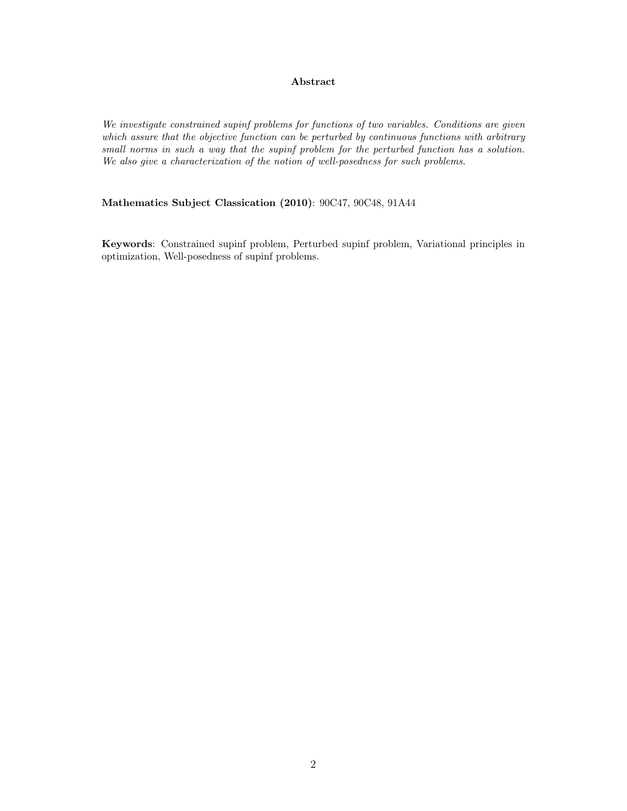### Abstract

We investigate constrained supinf problems for functions of two variables. Conditions are given which assure that the objective function can be perturbed by continuous functions with arbitrary small norms in such a way that the supinf problem for the perturbed function has a solution. We also give a characterization of the notion of well-posedness for such problems.

## Mathematics Subject Classication (2010): 90C47, 90C48, 91A44

Keywords: Constrained supinf problem, Perturbed supinf problem, Variational principles in optimization, Well-posedness of supinf problems.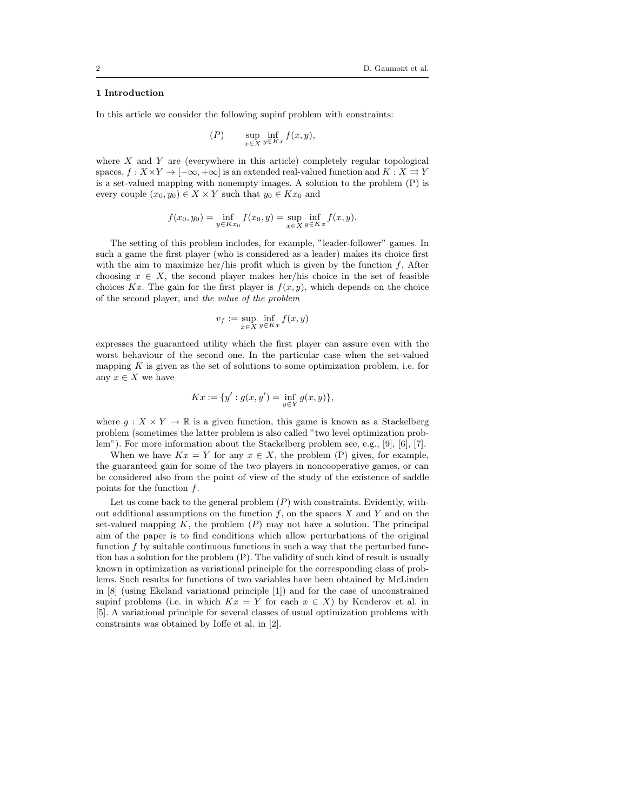#### 1 Introduction

In this article we consider the following supinf problem with constraints:

$$
(P) \qquad \sup_{x \in X} \inf_{y \in Kx} f(x, y),
$$

where  $X$  and  $Y$  are (everywhere in this article) completely regular topological spaces,  $f: X \times Y \to [-\infty, +\infty]$  is an extended real-valued function and  $K: X \rightrightarrows Y$ is a set-valued mapping with nonempty images. A solution to the problem (P) is every couple  $(x_0, y_0) \in X \times Y$  such that  $y_0 \in Kx_0$  and

$$
f(x_0, y_0) = \inf_{y \in Kx_0} f(x_0, y) = \sup_{x \in X} \inf_{y \in Kx} f(x, y).
$$

The setting of this problem includes, for example, "leader-follower" games. In such a game the first player (who is considered as a leader) makes its choice first with the aim to maximize her/his profit which is given by the function  $f$ . After choosing  $x \in X$ , the second player makes her/his choice in the set of feasible choices Kx. The gain for the first player is  $f(x, y)$ , which depends on the choice of the second player, and the value of the problem

$$
v_f := \sup_{x \in X} \inf_{y \in Kx} f(x, y)
$$

expresses the guaranteed utility which the first player can assure even with the worst behaviour of the second one. In the particular case when the set-valued mapping  $K$  is given as the set of solutions to some optimization problem, i.e. for any  $x \in X$  we have

$$
Kx := \{y' : g(x, y') = \inf_{y \in Y} g(x, y)\},\
$$

where  $q: X \times Y \to \mathbb{R}$  is a given function, this game is known as a Stackelberg problem (sometimes the latter problem is also called "two level optimization problem"). For more information about the Stackelberg problem see, e.g., [9], [6], [7].

When we have  $Kx = Y$  for any  $x \in X$ , the problem (P) gives, for example, the guaranteed gain for some of the two players in noncooperative games, or can be considered also from the point of view of the study of the existence of saddle points for the function  $f$ .

Let us come back to the general problem  $(P)$  with constraints. Evidently, without additional assumptions on the function  $f$ , on the spaces  $X$  and  $Y$  and on the set-valued mapping  $K$ , the problem  $(P)$  may not have a solution. The principal aim of the paper is to find conditions which allow perturbations of the original function  $f$  by suitable continuous functions in such a way that the perturbed function has a solution for the problem (P). The validity of such kind of result is usually known in optimization as variational principle for the corresponding class of problems. Such results for functions of two variables have been obtained by McLinden in [8] (using Ekeland variational principle [1]) and for the case of unconstrained supinf problems (i.e. in which  $Kx = Y$  for each  $x \in X$ ) by Kenderov et al. in [5]. A variational principle for several classes of usual optimization problems with constraints was obtained by Ioffe et al. in [2].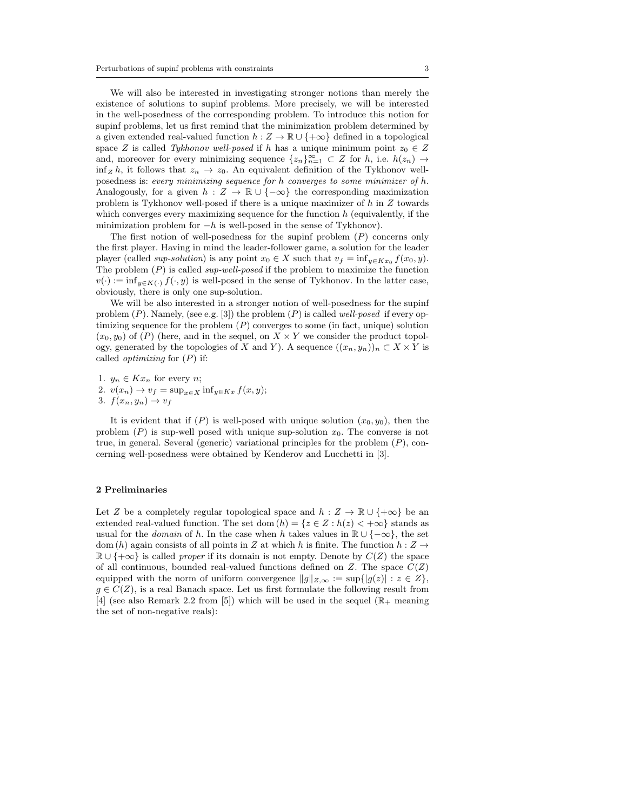We will also be interested in investigating stronger notions than merely the existence of solutions to supinf problems. More precisely, we will be interested in the well-posedness of the corresponding problem. To introduce this notion for supinf problems, let us first remind that the minimization problem determined by a given extended real-valued function  $h : Z \to \mathbb{R} \cup \{+\infty\}$  defined in a topological space Z is called Tykhonov well-posed if h has a unique minimum point  $z_0 \in Z$ and, moreover for every minimizing sequence  $\{z_n\}_{n=1}^{\infty} \subset Z$  for h, i.e.  $h(z_n) \to$  $\inf_Z h$ , it follows that  $z_n \to z_0$ . An equivalent definition of the Tykhonov wellposedness is: every minimizing sequence for h converges to some minimizer of h. Analogously, for a given  $h : Z \to \mathbb{R} \cup \{-\infty\}$  the corresponding maximization problem is Tykhonov well-posed if there is a unique maximizer of h in Z towards which converges every maximizing sequence for the function  $h$  (equivalently, if the minimization problem for  $-h$  is well-posed in the sense of Tykhonov).

The first notion of well-posedness for the supinf problem  $(P)$  concerns only the first player. Having in mind the leader-follower game, a solution for the leader player (called *sup-solution*) is any point  $x_0 \in X$  such that  $v_f = \inf_{y \in Kx_0} f(x_0, y)$ . The problem  $(P)$  is called *sup-well-posed* if the problem to maximize the function  $v(\cdot) := \inf_{y \in K(\cdot)} f(\cdot, y)$  is well-posed in the sense of Tykhonov. In the latter case, obviously, there is only one sup-solution.

We will be also interested in a stronger notion of well-posedness for the supinf problem  $(P)$ . Namely, (see e.g. [3]) the problem  $(P)$  is called well-posed if every optimizing sequence for the problem  $(P)$  converges to some (in fact, unique) solution  $(x_0, y_0)$  of  $(P)$  (here, and in the sequel, on  $X \times Y$  we consider the product topology, generated by the topologies of X and Y). A sequence  $((x_n, y_n))_n \subset X \times Y$  is called *optimizing* for  $(P)$  if:

1.  $y_n \in Kx_n$  for every *n*; 2.  $v(x_n) \to v_f = \sup_{x \in X} \inf_{y \in Kx} f(x, y);$ 3.  $f(x_n, y_n) \rightarrow v_f$ 

It is evident that if  $(P)$  is well-posed with unique solution  $(x_0, y_0)$ , then the problem  $(P)$  is sup-well posed with unique sup-solution  $x_0$ . The converse is not true, in general. Several (generic) variational principles for the problem  $(P)$ , concerning well-posedness were obtained by Kenderov and Lucchetti in [3].

#### 2 Preliminaries

Let Z be a completely regular topological space and  $h : Z \to \mathbb{R} \cup \{+\infty\}$  be an extended real-valued function. The set dom  $(h) = \{z \in Z : h(z) < +\infty\}$  stands as usual for the *domain* of h. In the case when h takes values in  $\mathbb{R} \cup \{-\infty\}$ , the set dom (h) again consists of all points in Z at which h is finite. The function  $h: Z \rightarrow$  $\mathbb{R} \cup \{\pm \infty\}$  is called proper if its domain is not empty. Denote by  $C(Z)$  the space of all continuous, bounded real-valued functions defined on  $Z$ . The space  $C(Z)$ equipped with the norm of uniform convergence  $||g||_{Z,\infty} := \sup\{|g(z)| : z \in Z\},\$  $g \in C(Z)$ , is a real Banach space. Let us first formulate the following result from [4] (see also Remark 2.2 from [5]) which will be used in the sequel  $(\mathbb{R}_{+}$  meaning the set of non-negative reals):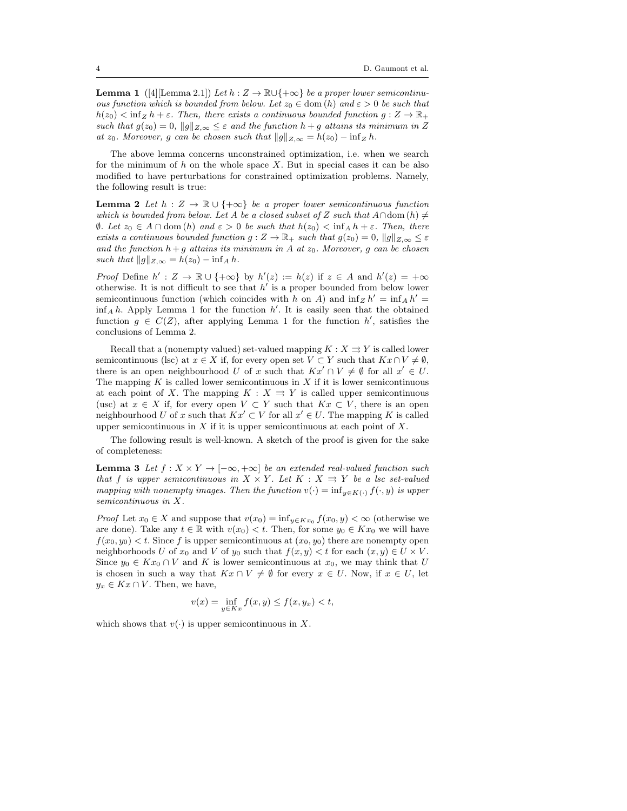**Lemma 1** ([4][Lemma 2.1]) Let  $h : Z \to \mathbb{R} \cup \{+\infty\}$  be a proper lower semicontinuous function which is bounded from below. Let  $z_0 \in \text{dom}(h)$  and  $\varepsilon > 0$  be such that  $h(z_0) < \inf_Z h + \varepsilon$ . Then, there exists a continuous bounded function  $g: Z \to \mathbb{R}_+$ such that  $g(z_0) = 0$ ,  $||g||_{Z,\infty} \leq \varepsilon$  and the function  $h + g$  attains its minimum in Z at  $z_0$ . Moreover, g can be chosen such that  $||g||_{Z,\infty} = h(z_0) - \inf_Z h$ .

The above lemma concerns unconstrained optimization, i.e. when we search for the minimum of  $h$  on the whole space X. But in special cases it can be also modified to have perturbations for constrained optimization problems. Namely, the following result is true:

**Lemma 2** Let  $h : Z \to \mathbb{R} \cup \{+\infty\}$  be a proper lower semicontinuous function which is bounded from below. Let A be a closed subset of Z such that  $A \cap$ dom  $(h) \neq$  $\emptyset$ . Let z<sub>0</sub> ∈ A ∩ dom (h) and  $\varepsilon > 0$  be such that  $h(z_0) < \inf_A h + \varepsilon$ . Then, there exists a continuous bounded function  $g: Z \to \mathbb{R}_+$  such that  $g(z_0) = 0$ ,  $||g||_{Z,\infty} \leq \varepsilon$ and the function  $h + g$  attains its minimum in A at  $z_0$ . Moreover, g can be chosen such that  $||g||_{Z,\infty} = h(z_0) - \inf_A h$ .

*Proof* Define  $h' : Z \to \mathbb{R} \cup \{+\infty\}$  by  $h'(z) := h(z)$  if  $z \in A$  and  $h'(z) = +\infty$ otherwise. It is not difficult to see that  $h'$  is a proper bounded from below lower semicontinuous function (which coincides with h on A) and  $\inf_Z h' = \inf_A h' =$  $\inf_A h$ . Apply Lemma 1 for the function h'. It is easily seen that the obtained function  $g \in C(Z)$ , after applying Lemma 1 for the function  $h'$ , satisfies the conclusions of Lemma 2.

Recall that a (nonempty valued) set-valued mapping  $K : X \rightrightarrows Y$  is called lower semicontinuous (lsc) at  $x \in X$  if, for every open set  $V \subset Y$  such that  $Kx \cap V \neq \emptyset$ , there is an open neighbourhood U of x such that  $Kx' \cap V \neq \emptyset$  for all  $x' \in U$ . The mapping  $K$  is called lower semicontinuous in  $X$  if it is lower semicontinuous at each point of X. The mapping  $K : X \rightrightarrows Y$  is called upper semicontinuous (usc) at  $x \in X$  if, for every open  $V \subset Y$  such that  $Kx \subset V$ , there is an open neighbourhood U of x such that  $Kx' \subset V$  for all  $x' \in U$ . The mapping K is called upper semicontinuous in  $X$  if it is upper semicontinuous at each point of  $X$ .

The following result is well-known. A sketch of the proof is given for the sake of completeness:

**Lemma 3** Let  $f : X \times Y \to [-\infty, +\infty]$  be an extended real-valued function such that f is upper semicontinuous in  $X \times Y$ . Let  $K : X \rightrightarrows Y$  be a lsc set-valued mapping with nonempty images. Then the function  $v(\cdot) = \inf_{y \in K(\cdot)} f(\cdot, y)$  is upper semicontinuous in X.

*Proof* Let  $x_0 \in X$  and suppose that  $v(x_0) = \inf_{y \in K} x_0 f(x_0, y) < \infty$  (otherwise we are done). Take any  $t \in \mathbb{R}$  with  $v(x_0) < t$ . Then, for some  $y_0 \in Kx_0$  we will have  $f(x_0, y_0) < t$ . Since f is upper semicontinuous at  $(x_0, y_0)$  there are nonempty open neighborhoods U of  $x_0$  and V of  $y_0$  such that  $f(x, y) < t$  for each  $(x, y) \in U \times V$ . Since  $y_0 \in Kx_0 \cap V$  and K is lower semicontinuous at  $x_0$ , we may think that U is chosen in such a way that  $Kx \cap V \neq \emptyset$  for every  $x \in U$ . Now, if  $x \in U$ , let  $y_x \in Kx \cap V$ . Then, we have,

$$
v(x) = \inf_{y \in Kx} f(x, y) \le f(x, y_x) < t,
$$

which shows that  $v(\cdot)$  is upper semicontinuous in X.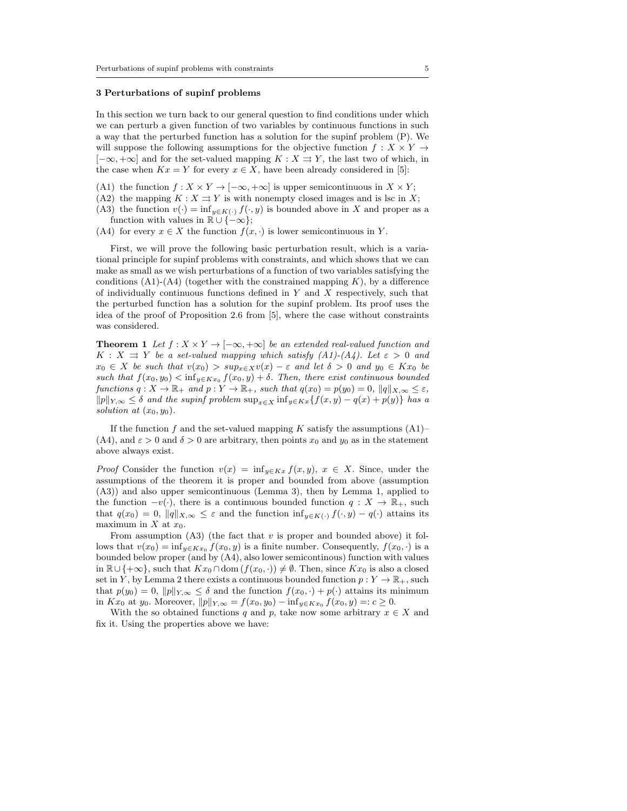#### 3 Perturbations of supinf problems

In this section we turn back to our general question to find conditions under which we can perturb a given function of two variables by continuous functions in such a way that the perturbed function has a solution for the supinf problem (P). We will suppose the following assumptions for the objective function  $f: X \times Y \rightarrow$  $[-\infty, +\infty]$  and for the set-valued mapping  $K : X \rightrightarrows Y$ , the last two of which, in the case when  $Kx = Y$  for every  $x \in X$ , have been already considered in [5]:

- (A1) the function  $f : X \times Y \to [-\infty, +\infty]$  is upper semicontinuous in  $X \times Y$ ;
- (A2) the mapping  $K : X \rightrightarrows Y$  is with nonempty closed images and is lsc in X;
- (A3) the function  $v(\cdot) = \inf_{y \in K(\cdot)} f(\cdot, y)$  is bounded above in X and proper as a function with values in  $\mathbb{R} \cup \{-\infty\};$
- (A4) for every  $x \in X$  the function  $f(x, \cdot)$  is lower semicontinuous in Y.

First, we will prove the following basic perturbation result, which is a variational principle for supinf problems with constraints, and which shows that we can make as small as we wish perturbations of a function of two variables satisfying the conditions (A1)-(A4) (together with the constrained mapping  $K$ ), by a difference of individually continuous functions defined in  $Y$  and  $X$  respectively, such that the perturbed function has a solution for the supinf problem. Its proof uses the idea of the proof of Proposition 2.6 from [5], where the case without constraints was considered.

**Theorem 1** Let  $f : X \times Y \to [-\infty, +\infty]$  be an extended real-valued function and  $K: X \rightrightarrows Y$  be a set-valued mapping which satisfy  $(A1)-(A4)$ . Let  $\varepsilon > 0$  and  $x_0 \in X$  be such that  $v(x_0) > sup_{x \in X}v(x) - \varepsilon$  and let  $\delta > 0$  and  $y_0 \in Kx_0$  be such that  $f(x_0, y_0) < \inf_{y \in Kx_0} f(x_0, y) + \delta$ . Then, there exist continuous bounded functions  $q: X \to \mathbb{R}_+$  and  $p: Y \to \mathbb{R}_+$ , such that  $q(x_0) = p(y_0) = 0$ ,  $||q||_{X,\infty} \leq \varepsilon$ ,  $||p||_{Y,\infty} \leq \delta$  and the supinf problem  $\sup_{x \in X} \inf_{y \in K} f(x, y) - q(x) + p(y)$  has a solution at  $(x_0, y_0)$ .

If the function f and the set-valued mapping K satisfy the assumptions  $(A1)$ – (A4), and  $\varepsilon > 0$  and  $\delta > 0$  are arbitrary, then points  $x_0$  and  $y_0$  as in the statement above always exist.

*Proof* Consider the function  $v(x) = \inf_{y \in Kx} f(x, y), x \in X$ . Since, under the assumptions of the theorem it is proper and bounded from above (assumption (A3)) and also upper semicontinuous (Lemma 3), then by Lemma 1, applied to the function  $-v(\cdot)$ , there is a continuous bounded function  $q: X \to \mathbb{R}_+$ , such that  $q(x_0) = 0$ ,  $||q||_{X,\infty} \leq \varepsilon$  and the function  $\inf_{y \in K(\cdot)} f(\cdot, y) - q(\cdot)$  attains its maximum in  $X$  at  $x_0$ .

From assumption  $(A3)$  (the fact that v is proper and bounded above) it follows that  $v(x_0) = \inf_{y \in Kx_0} f(x_0, y)$  is a finite number. Consequently,  $f(x_0, \cdot)$  is a bounded below proper (and by (A4), also lower semicontinous) function with values in  $\mathbb{R}\cup\{+\infty\}$ , such that  $Kx_0 \cap \text{dom}(f(x_0,\cdot)) \neq \emptyset$ . Then, since  $Kx_0$  is also a closed set in Y, by Lemma 2 there exists a continuous bounded function  $p: Y \to \mathbb{R}_+$ , such that  $p(y_0) = 0$ ,  $||p||_{Y,\infty} \leq \delta$  and the function  $f(x_0, \cdot) + p(\cdot)$  attains its minimum in  $Kx_0$  at y<sub>0</sub>. Moreover,  $||p||_{Y,\infty} = f(x_0, y_0) - inf_{y \in Kx_0} f(x_0, y) =: c \ge 0.$ 

With the so obtained functions q and p, take now some arbitrary  $x \in X$  and fix it. Using the properties above we have: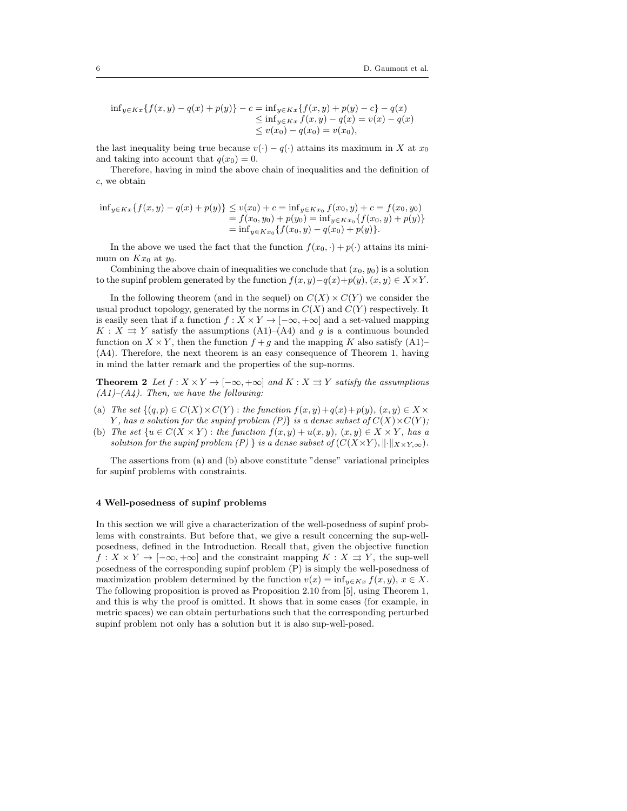$$
\inf_{y \in Kx} \{ f(x, y) - q(x) + p(y) \} - c = \inf_{y \in Kx} \{ f(x, y) + p(y) - c \} - q(x) \n\leq \inf_{y \in Kx} f(x, y) - q(x) = v(x) - q(x) \n\leq v(x_0) - q(x_0) = v(x_0),
$$

the last inequality being true because  $v(\cdot) - q(\cdot)$  attains its maximum in X at  $x_0$ and taking into account that  $q(x_0) = 0$ .

Therefore, having in mind the above chain of inequalities and the definition of c, we obtain

$$
\begin{aligned} \inf_{y \in Kx} \{ f(x, y) - q(x) + p(y) \} &\le v(x_0) + c = \inf_{y \in Kx_0} f(x_0, y) + c = f(x_0, y_0) \\ &= f(x_0, y_0) + p(y_0) = \inf_{y \in Kx_0} \{ f(x_0, y) + p(y) \} \\ &= \inf_{y \in Kx_0} \{ f(x_0, y) - q(x_0) + p(y) \}. \end{aligned}
$$

In the above we used the fact that the function  $f(x_0, \cdot) + p(\cdot)$  attains its minimum on  $Kx_0$  at  $y_0$ .

Combining the above chain of inequalities we conclude that  $(x_0, y_0)$  is a solution to the supinf problem generated by the function  $f(x, y)-q(x)+p(y), (x, y) \in X \times Y$ .

In the following theorem (and in the sequel) on  $C(X) \times C(Y)$  we consider the usual product topology, generated by the norms in  $C(X)$  and  $C(Y)$  respectively. It is easily seen that if a function  $f : X \times Y \to [-\infty, +\infty]$  and a set-valued mapping  $K : X \rightrightarrows Y$  satisfy the assumptions  $(A1)$ – $(A4)$  and g is a continuous bounded function on  $X \times Y$ , then the function  $f + g$  and the mapping K also satisfy (A1)– (A4). Therefore, the next theorem is an easy consequence of Theorem 1, having in mind the latter remark and the properties of the sup-norms.

**Theorem 2** Let  $f : X \times Y \to [-\infty, +\infty]$  and  $K : X \rightrightarrows Y$  satisfy the assumptions  $(A1)$ – $(A4)$ . Then, we have the following:

- (a) The set  $\{(q, p) \in C(X) \times C(Y) : \text{the function } f(x, y) + q(x) + p(y), (x, y) \in X \times Y\}$ Y, has a solution for the supinf problem  $(P)$  is a dense subset of  $C(X) \times C(Y)$ ;
- (b) The set  $\{u \in C(X \times Y) : the function f(x, y) + u(x, y), (x, y) \in X \times Y, has a$ solution for the supinf problem (P) } is a dense subset of  $(C(X\times Y), \|\cdot\|_{X\times Y,\infty})$ .

The assertions from (a) and (b) above constitute "dense" variational principles for supinf problems with constraints.

#### 4 Well-posedness of supinf problems

In this section we will give a characterization of the well-posedness of supinf problems with constraints. But before that, we give a result concerning the sup-wellposedness, defined in the Introduction. Recall that, given the objective function  $f: X \times Y \to [-\infty, +\infty]$  and the constraint mapping  $K: X \rightrightarrows Y$ , the sup-well posedness of the corresponding supinf problem (P) is simply the well-posedness of maximization problem determined by the function  $v(x) = \inf_{y \in Kx} f(x, y), x \in X$ . The following proposition is proved as Proposition 2.10 from [5], using Theorem 1, and this is why the proof is omitted. It shows that in some cases (for example, in metric spaces) we can obtain perturbations such that the corresponding perturbed supinf problem not only has a solution but it is also sup-well-posed.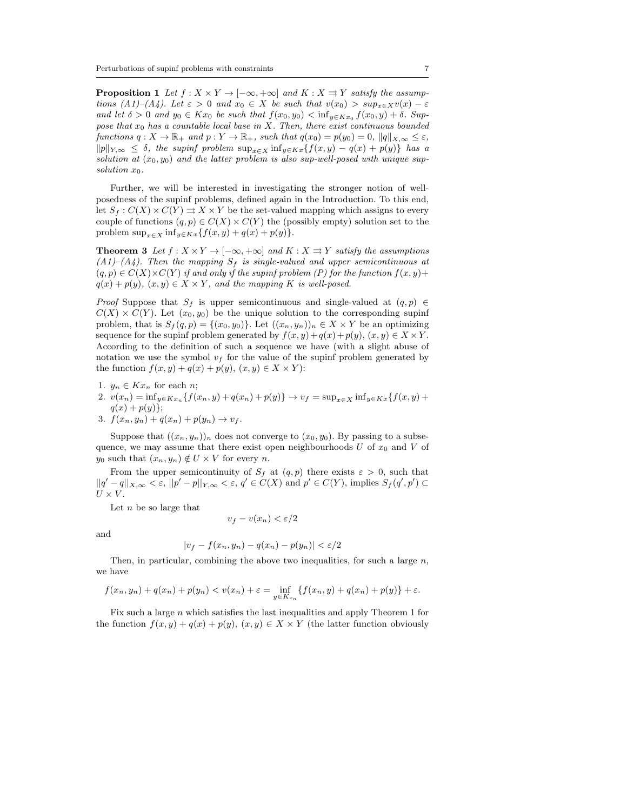**Proposition 1** Let  $f : X \times Y \to [-\infty, +\infty]$  and  $K : X \rightrightarrows Y$  satisfy the assumptions  $(A1)$ – $(A4)$ . Let  $\varepsilon > 0$  and  $x_0 \in X$  be such that  $v(x_0) > sup_{x \in X}v(x) - \varepsilon$ and let  $\delta > 0$  and  $y_0 \in Kx_0$  be such that  $f(x_0, y_0) < \inf_{y \in Kx_0} f(x_0, y) + \delta$ . Suppose that  $x_0$  has a countable local base in X. Then, there exist continuous bounded functions  $q: X \to \mathbb{R}_+$  and  $p: Y \to \mathbb{R}_+$ , such that  $q(x_0) = p(y_0) = 0$ ,  $||q||_{X,\infty} \leq \varepsilon$ ,  $||p||_{Y,\infty} \leq \delta$ , the supinf problem  $\sup_{x \in X} \inf_{y \in K} f(x, y) - q(x) + p(y)$  has a solution at  $(x_0, y_0)$  and the latter problem is also sup-well-posed with unique supsolution  $x_0$ .

Further, we will be interested in investigating the stronger notion of wellposedness of the supinf problems, defined again in the Introduction. To this end, let  $S_f: C(X) \times C(Y) \rightrightarrows X \times Y$  be the set-valued mapping which assigns to every couple of functions  $(q, p) \in C(X) \times C(Y)$  the (possibly empty) solution set to the problem  $\sup_{x \in X} \inf_{y \in K} f(x, y) + q(x) + p(y)$ .

**Theorem 3** Let  $f : X \times Y \to [-\infty, +\infty]$  and  $K : X \Rightarrow Y$  satisfy the assumptions  $(A1)$ – $(A4)$ . Then the mapping  $S_f$  is single-valued and upper semicontinuous at  $(q, p) \in C(X) \times C(Y)$  if and only if the supinf problem (P) for the function  $f(x, y)$ +  $q(x) + p(y), (x, y) \in X \times Y$ , and the mapping K is well-posed.

*Proof* Suppose that  $S_f$  is upper semicontinuous and single-valued at  $(q, p) \in$  $C(X) \times C(Y)$ . Let  $(x_0, y_0)$  be the unique solution to the corresponding supinf problem, that is  $S_f(q, p) = \{(x_0, y_0)\}\.$  Let  $((x_n, y_n))_n \in X \times Y$  be an optimizing sequence for the supinf problem generated by  $f(x, y)+q(x)+p(y)$ ,  $(x, y) \in X \times Y$ . According to the definition of such a sequence we have (with a slight abuse of notation we use the symbol  $v_f$  for the value of the supinf problem generated by the function  $f(x, y) + q(x) + p(y), (x, y) \in X \times Y$ :

- 1.  $y_n \in Kx_n$  for each *n*;
- 2.  $v(x_n) = \inf_{y \in Kx_n} \{f(x_n, y) + q(x_n) + p(y)\} \to v_f = \sup_{x \in X} \inf_{y \in Kx} \{f(x, y) + g(x_n)\}$  $q(x) + p(y)$ ;
- 3.  $f(x_n, y_n) + q(x_n) + p(y_n) \to v_f$ .

Suppose that  $((x_n, y_n))_n$  does not converge to  $(x_0, y_0)$ . By passing to a subsequence, we may assume that there exist open neighbourhoods  $U$  of  $x_0$  and  $V$  of  $y_0$  such that  $(x_n, y_n) \notin U \times V$  for every n.

From the upper semicontinuity of  $S_f$  at  $(q, p)$  there exists  $\varepsilon > 0$ , such that  $||q'-q||_{X,\infty} < \varepsilon, ||p'-p||_{Y,\infty} < \varepsilon, q' \in C(X)$  and  $p' \in C(Y)$ , implies  $S_f(q',p') \subset$  $U \times V$ .

Let  $n$  be so large that

$$
v_f - v(x_n) < \varepsilon/2
$$

and

$$
|v_f - f(x_n, y_n) - q(x_n) - p(y_n)| < \varepsilon/2
$$

Then, in particular, combining the above two inequalities, for such a large  $n$ , we have

$$
f(x_n, y_n) + q(x_n) + p(y_n) < v(x_n) + \varepsilon = \inf_{y \in K_{x_n}} \{ f(x_n, y) + q(x_n) + p(y) \} + \varepsilon.
$$

Fix such a large  $n$  which satisfies the last inequalities and apply Theorem 1 for the function  $f(x, y) + q(x) + p(y)$ ,  $(x, y) \in X \times Y$  (the latter function obviously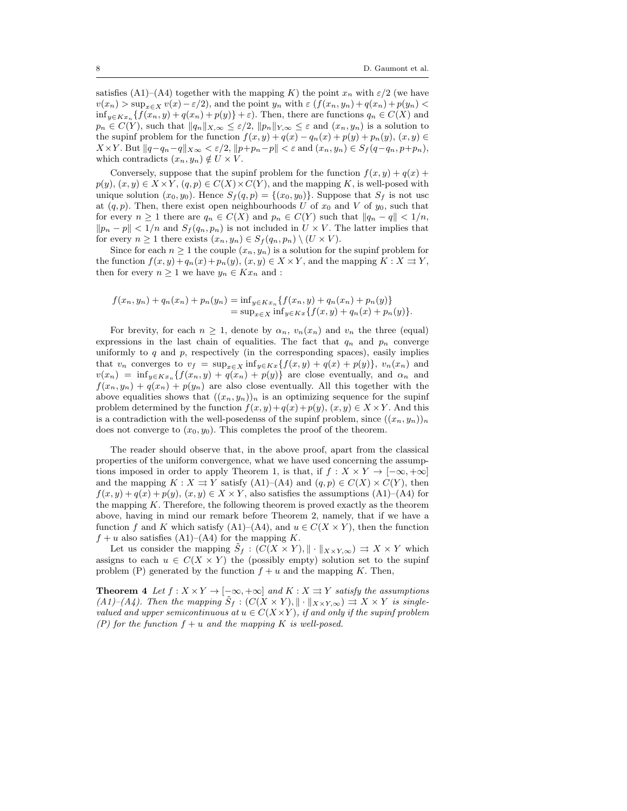satisfies (A1)–(A4) together with the mapping K) the point  $x_n$  with  $\varepsilon/2$  (we have  $v(x_n) > \sup_{x \in X} v(x) - \varepsilon/2$ , and the point  $y_n$  with  $\varepsilon$   $(f(x_n, y_n) + q(x_n) + p(y_n)$  $\inf_{y \in Kx_n} \{f(x_n, y) + q(x_n) + p(y)\} + \varepsilon$ . Then, there are functions  $q_n \in C(X)$  and  $p_n \in C(Y)$ , such that  $||q_n||_{X,\infty} \leq \varepsilon/2$ ,  $||p_n||_{Y,\infty} \leq \varepsilon$  and  $(x_n, y_n)$  is a solution to the supinf problem for the function  $f(x, y) + q(x) - q_n(x) + p(y) + p_n(y), (x, y) \in$  $X\times Y$ . But  $||q-q_n-q||_{X\infty}<\varepsilon/2$ ,  $||p+p_n-p||<\varepsilon$  and  $(x_n,y_n)\in S_f(q-q_n,p+p_n)$ , which contradicts  $(x_n, y_n) \notin U \times V$ .

Conversely, suppose that the supinf problem for the function  $f(x, y) + q(x) + q(x)$  $p(y), (x, y) \in X \times Y, (q, p) \in C(X) \times C(Y)$ , and the mapping K, is well-posed with unique solution  $(x_0, y_0)$ . Hence  $S_f(q, p) = \{(x_0, y_0)\}\.$  Suppose that  $S_f$  is not usc at  $(q, p)$ . Then, there exist open neighbourhoods U of  $x_0$  and V of  $y_0$ , such that for every  $n \geq 1$  there are  $q_n \in C(X)$  and  $p_n \in C(Y)$  such that  $||q_n - q|| < 1/n$ ,  $\|p_n - p\| < 1/n$  and  $S_f(q_n, p_n)$  is not included in  $U \times V$ . The latter implies that for every  $n \geq 1$  there exists  $(x_n, y_n) \in S_f(q_n, p_n) \setminus (U \times V)$ .

Since for each  $n \geq 1$  the couple  $(x_n, y_n)$  is a solution for the supinf problem for the function  $f(x, y)+q_n(x)+p_n(y)$ ,  $(x, y) \in X \times Y$ , and the mapping  $K : X \rightrightarrows Y$ , then for every  $n \geq 1$  we have  $y_n \in Kx_n$  and :

$$
f(x_n, y_n) + q_n(x_n) + p_n(y_n) = \inf_{y \in Kx_n} \{ f(x_n, y) + q_n(x_n) + p_n(y) \}
$$
  
= 
$$
\sup_{x \in X} \inf_{y \in Kx} \{ f(x, y) + q_n(x) + p_n(y) \}.
$$

For brevity, for each  $n \geq 1$ , denote by  $\alpha_n$ ,  $v_n(x_n)$  and  $v_n$  the three (equal) expressions in the last chain of equalities. The fact that  $q_n$  and  $p_n$  converge uniformly to  $q$  and  $p$ , respectively (in the corresponding spaces), easily implies that  $v_n$  converges to  $v_f = \sup_{x \in X} \inf_{y \in K} f(x, y) + q(x) + p(y)$ ,  $v_n(x_n)$  and  $v(x_n) = \inf_{y \in Kx_n} \{f(x_n, y) + q(x_n) + p(y)\}\$ are close eventually, and  $\alpha_n$  and  $f(x_n, y_n) + q(x_n) + p(y_n)$  are also close eventually. All this together with the above equalities shows that  $((x_n, y_n))_n$  is an optimizing sequence for the supinf problem determined by the function  $f(x, y)+q(x)+p(y)$ ,  $(x, y) \in X \times Y$ . And this is a contradiction with the well-posedenss of the supinf problem, since  $((x_n, y_n))_n$ does not converge to  $(x_0, y_0)$ . This completes the proof of the theorem.

The reader should observe that, in the above proof, apart from the classical properties of the uniform convergence, what we have used concerning the assumptions imposed in order to apply Theorem 1, is that, if  $f : X \times Y \to [-\infty, +\infty]$ and the mapping  $K : X \rightrightarrows Y$  satisfy  $(A1)$ – $(A4)$  and  $(q, p) \in C(X) \times C(Y)$ , then  $f(x, y) + q(x) + p(y), (x, y) \in X \times Y$ , also satisfies the assumptions (A1)–(A4) for the mapping  $K$ . Therefore, the following theorem is proved exactly as the theorem above, having in mind our remark before Theorem 2, namely, that if we have a function f and K which satisfy (A1)–(A4), and  $u \in C(X \times Y)$ , then the function  $f + u$  also satisfies (A1)–(A4) for the mapping K.

Let us consider the mapping  $\tilde{S}_f : (C(X \times Y), || \cdot ||_{X \times Y, \infty}) \Rightarrow X \times Y$  which assigns to each  $u \in C(X \times Y)$  the (possibly empty) solution set to the supinf problem (P) generated by the function  $f + u$  and the mapping K. Then,

**Theorem 4** Let  $f : X \times Y \to [-\infty, +\infty]$  and  $K : X \rightrightarrows Y$  satisfy the assumptions (A1)–(A4). Then the mapping  $\tilde{S}_f : (C(X \times Y), || \cdot ||_{X \times Y, \infty}) \rightrightarrows X \times Y$  is singlevalued and upper semicontinuous at  $u \in C(X \times Y)$ , if and only if the supinf problem (P) for the function  $f + u$  and the mapping K is well-posed.